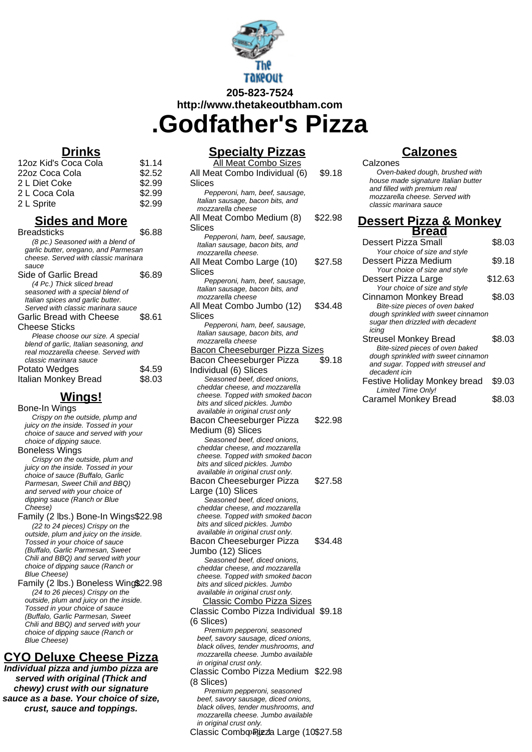

**205-823-7524 http://www.thetakeoutbham.com**

**.Godfather's Pizza**

### **Drinks**

| 12oz Kid's Coca Cola | \$1.14 |
|----------------------|--------|
| 22oz Coca Cola       | \$2.52 |
| 2 L Diet Coke        | \$2.99 |
| 2 L Coca Cola        | \$2.99 |
| 2 L Sprite           | \$2.99 |
|                      |        |

#### **Sides and More**

| <b>Breadsticks</b>                      | \$6.88 |
|-----------------------------------------|--------|
| (8 pc.) Seasoned with a blend of        |        |
| garlic butter, oregano, and Parmesan    |        |
| cheese. Served with classic marinara    |        |
| sauce                                   |        |
| Side of Garlic Bread                    | \$6.89 |
| (4 Pc.) Thick sliced bread              |        |
| seasoned with a special blend of        |        |
| Italian spices and garlic butter.       |        |
| Served with classic marinara sauce      |        |
| Garlic Bread with Cheese                | \$8.61 |
| Cheese Sticks                           |        |
| Please choose our size. A special       |        |
| blend of garlic, Italian seasoning, and |        |
| real mozzarella cheese. Served with     |        |
| classic marinara sauce                  |        |
| Potato Wedges                           | \$4.59 |
| Italian Monkey Bread                    | \$8.03 |

# **Wings!**

Bone-In Wings Crispy on the outside, plump and juicy on the inside. Tossed in your choice of sauce and served with your choice of dipping sauce. Boneless Wings Crispy on the outside, plum and juicy on the inside. Tossed in your choice of sauce (Buffalo, Garlic Parmesan, Sweet Chili and BBQ) and served with your choice of dipping sauce (Ranch or Blue Cheese) Family (2 lbs.) Bone-In Wings\$22.98 (22 to 24 pieces) Crispy on the outside, plum and juicy on the inside. Tossed in your choice of sauce (Buffalo, Garlic Parmesan, Sweet Chili and BBQ) and served with your choice of dipping sauce (Ranch or Blue Cheese) Family (2 lbs.) Boneless Wing\$22.98 (24 to 26 pieces) Crispy on the outside, plum and juicy on the inside. Tossed in your choice of sauce (Buffalo, Garlic Parmesan, Sweet Chili and BBQ) and served with your choice of dipping sauce (Ranch or Blue Cheese) **CYO Deluxe Cheese Pizza Individual pizza and jumbo pizza are served with original (Thick and chewy) crust with our signature**

**sauce as a base. Your choice of size, crust, sauce and toppings.**

#### **Specialty Pizzas**

| <u> Specialty Fizzas</u>                                                   |         |
|----------------------------------------------------------------------------|---------|
| <b>All Meat Combo Sizes</b>                                                |         |
| All Meat Combo Individual (6)                                              | \$9.18  |
| <b>Slices</b>                                                              |         |
| Pepperoni, ham, beef, sausage,                                             |         |
| Italian sausage, bacon bits, and                                           |         |
| mozzarella cheese                                                          |         |
| All Meat Combo Medium (8)                                                  | \$22.98 |
| Slices                                                                     |         |
| Pepperoni, ham, beef, sausage,                                             |         |
| Italian sausage, bacon bits, and                                           |         |
| mozzarella cheese.                                                         |         |
| All Meat Combo Large (10)                                                  | \$27.58 |
| <b>Slices</b>                                                              |         |
| Pepperoni, ham, beef, sausage,                                             |         |
| Italian sausage, bacon bits, and<br>mozzarella cheese                      |         |
| All Meat Combo Jumbo (12)                                                  | \$34.48 |
|                                                                            |         |
| Slices                                                                     |         |
| Pepperoni, ham, beef, sausage,                                             |         |
| Italian sausage, bacon bits, and<br>mozzarella cheese                      |         |
|                                                                            |         |
| <u>Bacon Cheeseburger Pizza Sizes</u>                                      |         |
| Bacon Cheeseburger Pizza                                                   | \$9.18  |
| Individual (6) Slices                                                      |         |
| Seasoned beef, diced onions,                                               |         |
| cheddar cheese, and mozzarella                                             |         |
| cheese. Topped with smoked bacon<br>bits and sliced pickles. Jumbo         |         |
| available in original crust only                                           |         |
| Bacon Cheeseburger Pizza                                                   | \$22.98 |
| Medium (8) Slices                                                          |         |
|                                                                            |         |
| Seasoned beef, diced onions,<br>cheddar cheese, and mozzarella             |         |
| cheese. Topped with smoked bacon                                           |         |
| bits and sliced pickles. Jumbo                                             |         |
| available in original crust only.                                          |         |
| Bacon Cheeseburger Pizza                                                   | \$27.58 |
| Large (10) Slices                                                          |         |
| Seasoned beef, diced onions,                                               |         |
| cheddar cheese, and mozzarella                                             |         |
| cheese. Topped with smoked bacon                                           |         |
| bits and sliced pickles. Jumbo                                             |         |
| available in original crust only.                                          |         |
| Bacon Cheeseburger Pizza                                                   | \$34.48 |
| Jumbo (12) Slices                                                          |         |
| Seasoned beef, diced onions,                                               |         |
| cheddar cheese, and mozzarella                                             |         |
| cheese. Topped with smoked bacon                                           |         |
| bits and sliced pickles. Jumbo                                             |         |
| available in original crust only.                                          |         |
| <b>Classic Combo Pizza Sizes</b>                                           |         |
| Classic Combo Pizza Individual \$9.18                                      |         |
| (6 Slices)                                                                 |         |
| Premium pepperoni, seasoned                                                |         |
| beef, savory sausage, diced onions,                                        |         |
| black olives, tender mushrooms, and                                        |         |
| mozzarella cheese. Jumbo available                                         |         |
| in original crust only.<br>Classic Combo Pizza Medium \$22.98              |         |
|                                                                            |         |
| (8 Slices)                                                                 |         |
| Premium pepperoni, seasoned                                                |         |
| beef, savory sausage, diced onions,<br>black olives, tender mushrooms, and |         |
|                                                                            |         |

mozzarella cheese. Jumbo available

Classic Comboragizza Large (10\$27.58

in original crust only.

## **Calzones**

Calzones Oven-baked dough, brushed with house made signature Italian butter and filled with premium real mozzarella cheese. Served with classic marinara sauce

| <b>Dessert Pizza &amp; Monkey</b> |        |
|-----------------------------------|--------|
| <b>Bread</b>                      |        |
| Dessert Pizza Small               | \$8.03 |

|                                     | ັ⊽.     |
|-------------------------------------|---------|
| Your choice of size and style       |         |
| Dessert Pizza Medium                | \$9.18  |
| Your choice of size and style       |         |
| Dessert Pizza Large                 | \$12.63 |
| Your choice of size and style       |         |
| Cinnamon Monkey Bread               | \$8.03  |
| Bite-size pieces of oven baked      |         |
| dough sprinkled with sweet cinnamon |         |
| sugar then drizzled with decadent   |         |
| icinq                               |         |
| <b>Streusel Monkey Bread</b>        | \$8.03  |
| Bite-sized pieces of oven baked     |         |
| dough sprinkled with sweet cinnamon |         |
| and sugar. Topped with streusel and |         |
| decadent icin                       |         |
| Festive Holiday Monkey bread        | \$9.03  |
| <b>Limited Time Only!</b>           |         |
| <b>Caramel Monkey Bread</b>         | \$8.03  |
|                                     |         |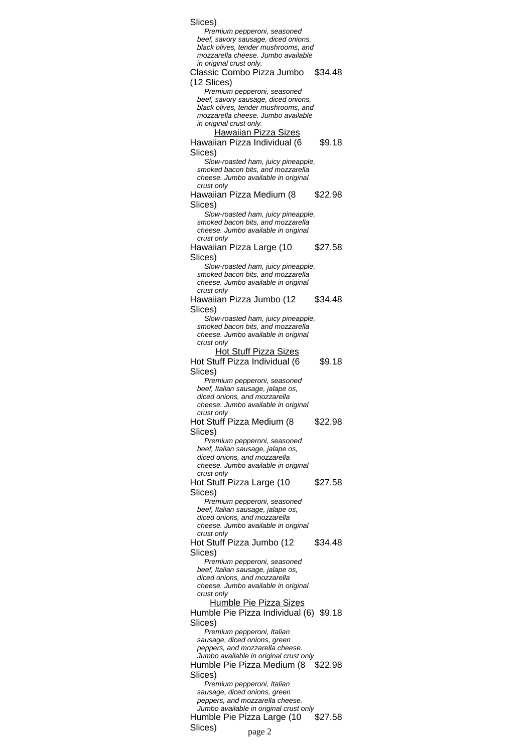Slices) Premium pepperoni, seasoned beef, savory sausage, diced onions, black olives, tender mushrooms, and mozzarella cheese. Jumbo available in original crust only. Classic Combo Pizza Jumbo (12 Slices) \$34.48 Premium pepperoni, seasoned beef, savory sausage, diced onions, black olives, tender mushrooms, and mozzarella cheese. Jumbo available in original crust only. Hawaiian Pizza Sizes Hawaiian Pizza Individual (6 Slices) \$9.18 Slow-roasted ham, juicy pineapple, smoked bacon bits, and mozzarella cheese. Jumbo available in original crust only Hawaiian Pizza Medium (8 Slices) \$22.98 Slow-roasted ham, juicy pineapple, smoked bacon bits, and mozzarella cheese. Jumbo available in original crust only Hawaiian Pizza Large (10 Slices) \$27.58 Slow-roasted ham, juicy pineapple, smoked bacon bits, and mozzarella cheese. Jumbo available in original crust only Hawaiian Pizza Jumbo (12 Slices) \$34.48 Slow-roasted ham, juicy pineapple, smoked bacon bits, and mozzarella cheese. Jumbo available in original crust only **Hot Stuff Pizza Sizes** Hot Stuff Pizza Individual (6 Slices) \$9.18 Premium pepperoni, seasoned beef, Italian sausage, jalape os, diced onions, and mozzarella cheese. Jumbo available in original crust only Hot Stuff Pizza Medium (8 Slices) \$22.98 Premium pepperoni, seasoned beef, Italian sausage, jalape os, diced onions, and mozzarella cheese. Jumbo available in original crust only Hot Stuff Pizza Large (10 Slices) \$27.58 Premium pepperoni, seasoned beef, Italian sausage, jalape os, diced onions, and mozzarella cheese. Jumbo available in original crust only Hot Stuff Pizza Jumbo (12 Slices) \$34.48 Premium pepperoni, seasoned beef, Italian sausage, jalape os, diced onions, and mozzarella cheese. Jumbo available in original crust only Humble Pie Pizza Sizes Humble Pie Pizza Individual (6) \$9.18 Slices) Premium pepperoni, Italian sausage, diced onions, green peppers, and mozzarella cheese. Jumbo available in original crust only Humble Pie Pizza Medium (8 Slices) \$22.98 Premium pepperoni, Italian sausage, diced onions, green peppers, and mozzarella cheese. Jumbo available in original crust only Humble Pie Pizza Large (10 Slices) \$27.58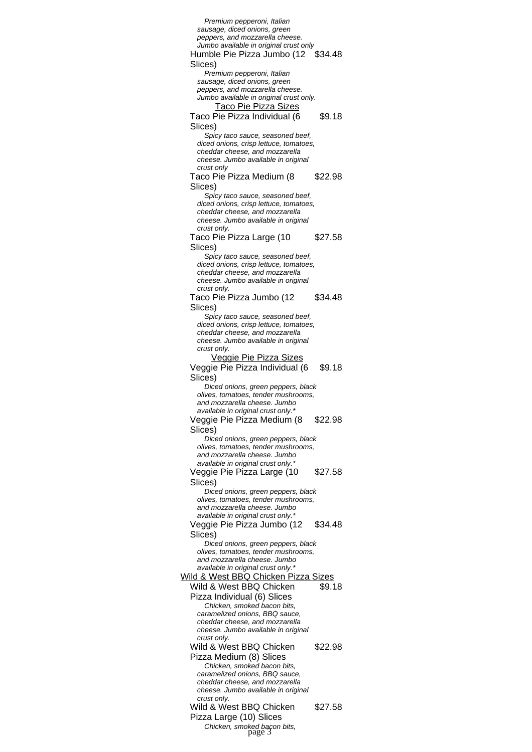Premium pepperoni, Italian sausage, diced onions, green peppers, and mozzarella cheese. Jumbo available in original crust only Humble Pie Pizza Jumbo (12 Slices) \$34.48 Premium pepperoni, Italian sausage, diced onions, green peppers, and mozzarella cheese. Jumbo available in original crust only. Taco Pie Pizza Sizes Taco Pie Pizza Individual (6 Slices) \$9.18 Spicy taco sauce, seasoned beef, diced onions, crisp lettuce, tomatoes, cheddar cheese, and mozzarella cheese. Jumbo available in original crust only Taco Pie Pizza Medium (8 Slices) \$22.98 Spicy taco sauce, seasoned beef, diced onions, crisp lettuce, tomatoes, cheddar cheese, and mozzarella cheese. Jumbo available in original crust only. Taco Pie Pizza Large (10 Slices) \$27.58 Spicy taco sauce, seasoned beef, diced onions, crisp lettuce, tomatoes, cheddar cheese, and mozzarella cheese. Jumbo available in original crust only. Taco Pie Pizza Jumbo (12 Slices) \$34.48 Spicy taco sauce, seasoned beef. diced onions, crisp lettuce, tomatoes, cheddar cheese, and mozzarella cheese. Jumbo available in original crust only. Veggie Pie Pizza Sizes Veggie Pie Pizza Individual (6 Slices) \$9.18 Diced onions, green peppers, black olives, tomatoes, tender mushrooms, and mozzarella cheese. Jumbo available in original crust only.\* Veggie Pie Pizza Medium (8 Slices) \$22.98 Diced onions, green peppers, black olives, tomatoes, tender mushrooms, and mozzarella cheese. Jumbo available in original crust only.\* Veggie Pie Pizza Large (10 Slices) \$27.58 Diced onions, green peppers, black olives, tomatoes, tender mushrooms, and mozzarella cheese. Jumbo available in original crust only.\* Veggie Pie Pizza Jumbo (12 Slices) \$34.48 Diced onions, green peppers, black olives, tomatoes, tender mushrooms, and mozzarella cheese. Jumbo available in original crust only.\* Wild & West BBQ Chicken Pizza Sizes Wild & West BBQ Chicken Pizza Individual (6) Slices \$9.18 Chicken, smoked bacon bits, caramelized onions, BBQ sauce, cheddar cheese, and mozzarella cheese. Jumbo available in original crust only. Wild & West BBQ Chicken Pizza Medium (8) Slices \$22.98 Chicken, smoked bacon bits, caramelized onions, BBQ sauce, cheddar cheese, and mozzarella cheese. Jumbo available in original crust only. Wild & West BBQ Chicken Pizza Large (10) Slices \$27.58 Chicken, smoked bacon bits, page 3